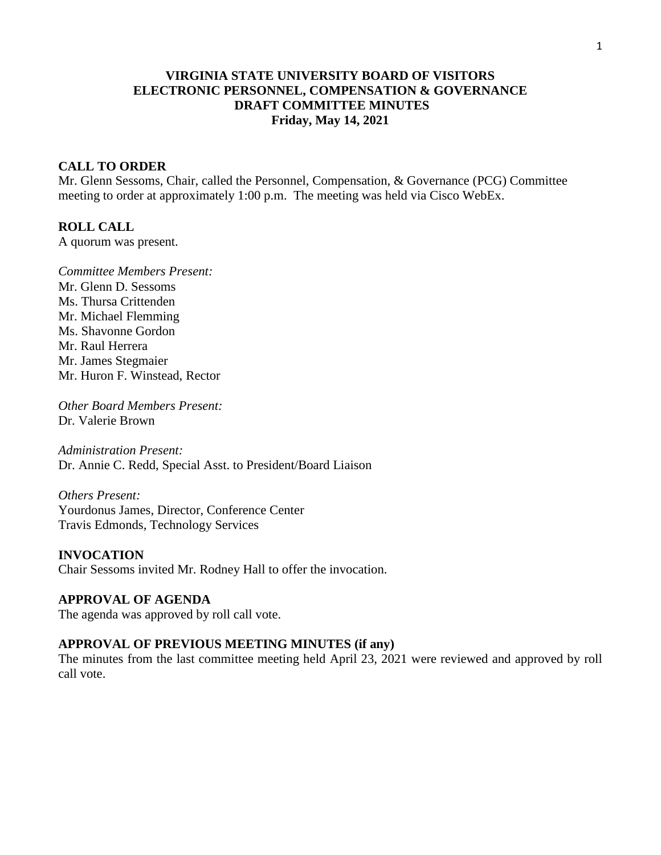# **VIRGINIA STATE UNIVERSITY BOARD OF VISITORS ELECTRONIC PERSONNEL, COMPENSATION & GOVERNANCE DRAFT COMMITTEE MINUTES Friday, May 14, 2021**

## **CALL TO ORDER**

Mr. Glenn Sessoms, Chair, called the Personnel, Compensation, & Governance (PCG) Committee meeting to order at approximately 1:00 p.m. The meeting was held via Cisco WebEx.

## **ROLL CALL**

A quorum was present.

*Committee Members Present:* Mr. Glenn D. Sessoms Ms. Thursa Crittenden Mr. Michael Flemming Ms. Shavonne Gordon Mr. Raul Herrera Mr. James Stegmaier Mr. Huron F. Winstead, Rector

*Other Board Members Present:* Dr. Valerie Brown

*Administration Present:* Dr. Annie C. Redd, Special Asst. to President/Board Liaison

*Others Present:* Yourdonus James, Director, Conference Center Travis Edmonds, Technology Services

**INVOCATION** Chair Sessoms invited Mr. Rodney Hall to offer the invocation.

# **APPROVAL OF AGENDA**

The agenda was approved by roll call vote.

## **APPROVAL OF PREVIOUS MEETING MINUTES (if any)**

The minutes from the last committee meeting held April 23, 2021 were reviewed and approved by roll call vote.